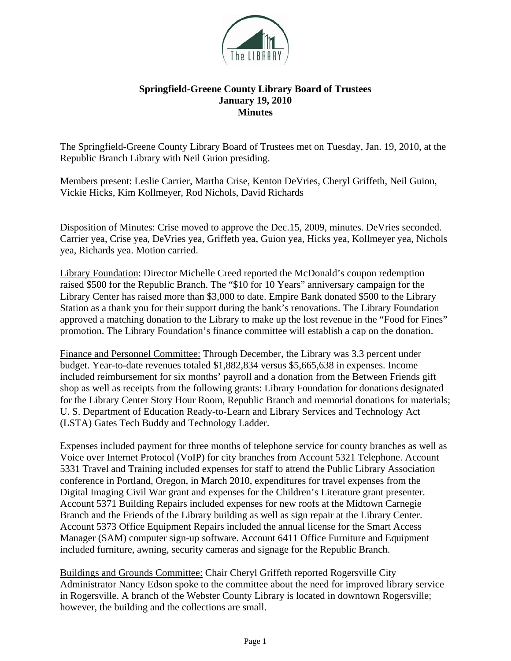

## **Springfield-Greene County Library Board of Trustees January 19, 2010 Minutes**

The Springfield-Greene County Library Board of Trustees met on Tuesday, Jan. 19, 2010, at the Republic Branch Library with Neil Guion presiding.

Members present: Leslie Carrier, Martha Crise, Kenton DeVries, Cheryl Griffeth, Neil Guion, Vickie Hicks, Kim Kollmeyer, Rod Nichols, David Richards

Disposition of Minutes: Crise moved to approve the Dec.15, 2009, minutes. DeVries seconded. Carrier yea, Crise yea, DeVries yea, Griffeth yea, Guion yea, Hicks yea, Kollmeyer yea, Nichols yea, Richards yea. Motion carried.

Library Foundation: Director Michelle Creed reported the McDonald's coupon redemption raised \$500 for the Republic Branch. The "\$10 for 10 Years" anniversary campaign for the Library Center has raised more than \$3,000 to date. Empire Bank donated \$500 to the Library Station as a thank you for their support during the bank's renovations. The Library Foundation approved a matching donation to the Library to make up the lost revenue in the "Food for Fines" promotion. The Library Foundation's finance committee will establish a cap on the donation.

Finance and Personnel Committee: Through December, the Library was 3.3 percent under budget. Year-to-date revenues totaled \$1,882,834 versus \$5,665,638 in expenses. Income included reimbursement for six months' payroll and a donation from the Between Friends gift shop as well as receipts from the following grants: Library Foundation for donations designated for the Library Center Story Hour Room, Republic Branch and memorial donations for materials; U. S. Department of Education Ready-to-Learn and Library Services and Technology Act (LSTA) Gates Tech Buddy and Technology Ladder.

Expenses included payment for three months of telephone service for county branches as well as Voice over Internet Protocol (VoIP) for city branches from Account 5321 Telephone. Account 5331 Travel and Training included expenses for staff to attend the Public Library Association conference in Portland, Oregon, in March 2010, expenditures for travel expenses from the Digital Imaging Civil War grant and expenses for the Children's Literature grant presenter. Account 5371 Building Repairs included expenses for new roofs at the Midtown Carnegie Branch and the Friends of the Library building as well as sign repair at the Library Center. Account 5373 Office Equipment Repairs included the annual license for the Smart Access Manager (SAM) computer sign-up software. Account 6411 Office Furniture and Equipment included furniture, awning, security cameras and signage for the Republic Branch.

Buildings and Grounds Committee: Chair Cheryl Griffeth reported Rogersville City Administrator Nancy Edson spoke to the committee about the need for improved library service in Rogersville. A branch of the Webster County Library is located in downtown Rogersville; however, the building and the collections are small.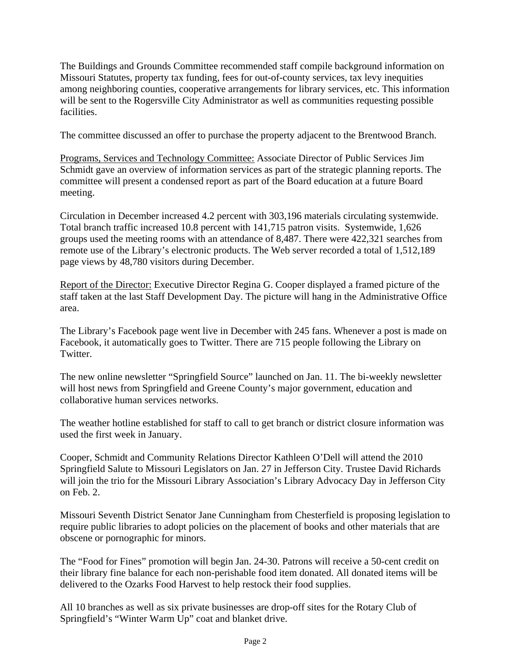The Buildings and Grounds Committee recommended staff compile background information on Missouri Statutes, property tax funding, fees for out-of-county services, tax levy inequities among neighboring counties, cooperative arrangements for library services, etc. This information will be sent to the Rogersville City Administrator as well as communities requesting possible facilities.

The committee discussed an offer to purchase the property adjacent to the Brentwood Branch.

Programs, Services and Technology Committee: Associate Director of Public Services Jim Schmidt gave an overview of information services as part of the strategic planning reports. The committee will present a condensed report as part of the Board education at a future Board meeting.

Circulation in December increased 4.2 percent with 303,196 materials circulating systemwide. Total branch traffic increased 10.8 percent with 141,715 patron visits. Systemwide, 1,626 groups used the meeting rooms with an attendance of 8,487. There were 422,321 searches from remote use of the Library's electronic products. The Web server recorded a total of 1,512,189 page views by 48,780 visitors during December.

Report of the Director: Executive Director Regina G. Cooper displayed a framed picture of the staff taken at the last Staff Development Day. The picture will hang in the Administrative Office area.

The Library's Facebook page went live in December with 245 fans. Whenever a post is made on Facebook, it automatically goes to Twitter. There are 715 people following the Library on Twitter.

The new online newsletter "Springfield Source" launched on Jan. 11. The bi-weekly newsletter will host news from Springfield and Greene County's major government, education and collaborative human services networks.

The weather hotline established for staff to call to get branch or district closure information was used the first week in January.

Cooper, Schmidt and Community Relations Director Kathleen O'Dell will attend the 2010 Springfield Salute to Missouri Legislators on Jan. 27 in Jefferson City. Trustee David Richards will join the trio for the Missouri Library Association's Library Advocacy Day in Jefferson City on Feb. 2.

Missouri Seventh District Senator Jane Cunningham from Chesterfield is proposing legislation to require public libraries to adopt policies on the placement of books and other materials that are obscene or pornographic for minors.

The "Food for Fines" promotion will begin Jan. 24-30. Patrons will receive a 50-cent credit on their library fine balance for each non-perishable food item donated. All donated items will be delivered to the Ozarks Food Harvest to help restock their food supplies.

All 10 branches as well as six private businesses are drop-off sites for the Rotary Club of Springfield's "Winter Warm Up" coat and blanket drive.